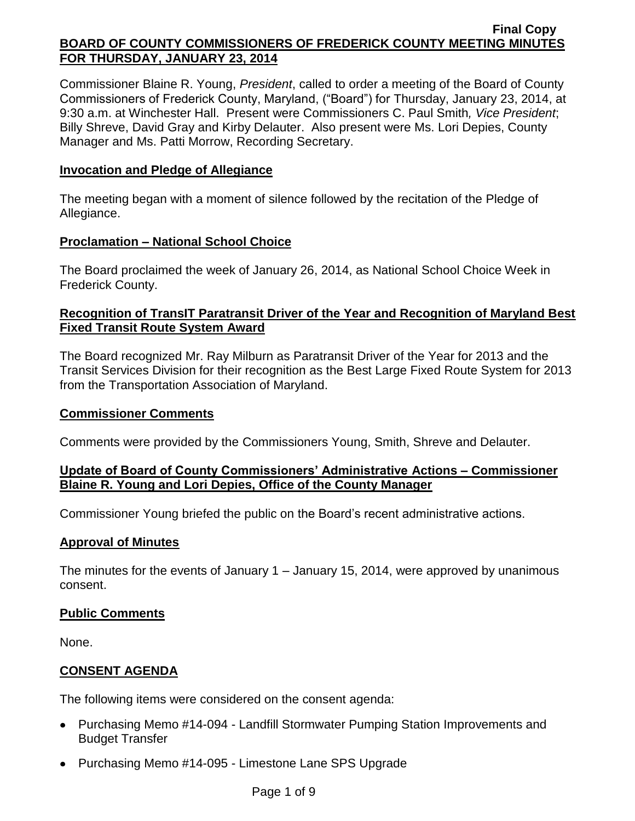Commissioner Blaine R. Young, *President*, called to order a meeting of the Board of County Commissioners of Frederick County, Maryland, ("Board") for Thursday, January 23, 2014, at 9:30 a.m. at Winchester Hall. Present were Commissioners C. Paul Smith*, Vice President*; Billy Shreve, David Gray and Kirby Delauter. Also present were Ms. Lori Depies, County Manager and Ms. Patti Morrow, Recording Secretary.

# **Invocation and Pledge of Allegiance**

The meeting began with a moment of silence followed by the recitation of the Pledge of Allegiance.

# **Proclamation – National School Choice**

The Board proclaimed the week of January 26, 2014, as National School Choice Week in Frederick County.

# **Recognition of TransIT Paratransit Driver of the Year and Recognition of Maryland Best Fixed Transit Route System Award**

The Board recognized Mr. Ray Milburn as Paratransit Driver of the Year for 2013 and the Transit Services Division for their recognition as the Best Large Fixed Route System for 2013 from the Transportation Association of Maryland.

## **Commissioner Comments**

Comments were provided by the Commissioners Young, Smith, Shreve and Delauter.

# **Update of Board of County Commissioners' Administrative Actions – Commissioner Blaine R. Young and Lori Depies, Office of the County Manager**

Commissioner Young briefed the public on the Board's recent administrative actions.

## **Approval of Minutes**

The minutes for the events of January 1 – January 15, 2014, were approved by unanimous consent.

## **Public Comments**

None.

# **CONSENT AGENDA**

The following items were considered on the consent agenda:

- Purchasing Memo #14-094 Landfill Stormwater Pumping Station Improvements and Budget Transfer
- Purchasing Memo #14-095 Limestone Lane SPS Upgrade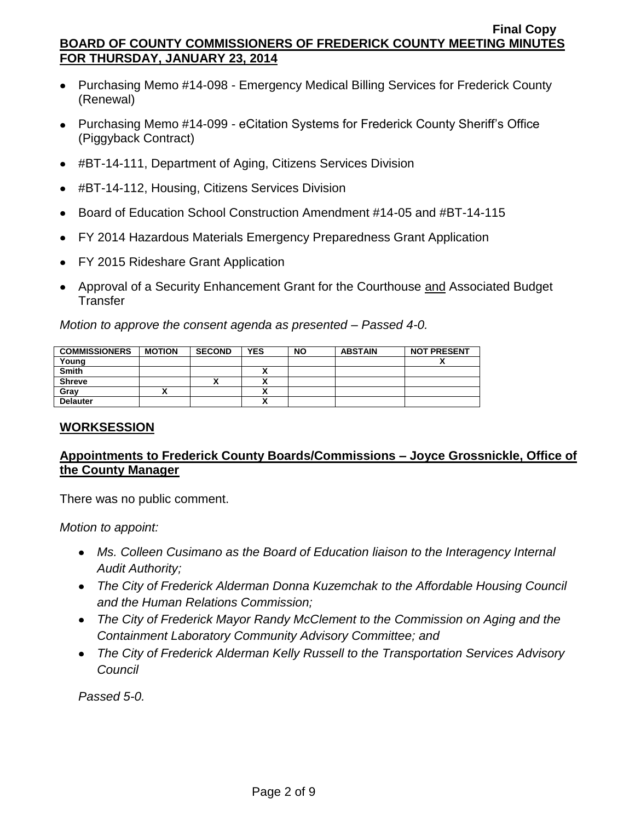- Purchasing Memo #14-098 Emergency Medical Billing Services for Frederick County (Renewal)
- Purchasing Memo #14-099 eCitation Systems for Frederick County Sheriff's Office (Piggyback Contract)
- #BT-14-111, Department of Aging, Citizens Services Division
- #BT-14-112, Housing, Citizens Services Division
- Board of Education School Construction Amendment #14-05 and #BT-14-115
- FY 2014 Hazardous Materials Emergency Preparedness Grant Application  $\bullet$
- FY 2015 Rideshare Grant Application
- Approval of a Security Enhancement Grant for the Courthouse and Associated Budget **Transfer**

*Motion to approve the consent agenda as presented – Passed 4-0.*

| <b>COMMISSIONERS</b> | <b>MOTION</b> | <b>SECOND</b> | <b>YES</b> | <b>NO</b> | <b>ABSTAIN</b> | <b>NOT PRESENT</b> |
|----------------------|---------------|---------------|------------|-----------|----------------|--------------------|
| Young                |               |               |            |           |                |                    |
| <b>Smith</b>         |               |               |            |           |                |                    |
| <b>Shreve</b>        |               | ^             |            |           |                |                    |
| Gray                 |               |               |            |           |                |                    |
| <b>Delauter</b>      |               |               |            |           |                |                    |

## **WORKSESSION**

# **Appointments to Frederick County Boards/Commissions – Joyce Grossnickle, Office of the County Manager**

There was no public comment.

*Motion to appoint:*

- Ms. Colleen Cusimano as the Board of Education liaison to the Interagency Internal *Audit Authority;*
- *The City of Frederick Alderman Donna Kuzemchak to the Affordable Housing Council and the Human Relations Commission;*
- *The City of Frederick Mayor Randy McClement to the Commission on Aging and the Containment Laboratory Community Advisory Committee; and*
- *The City of Frederick Alderman Kelly Russell to the Transportation Services Advisory Council*

*Passed 5-0.*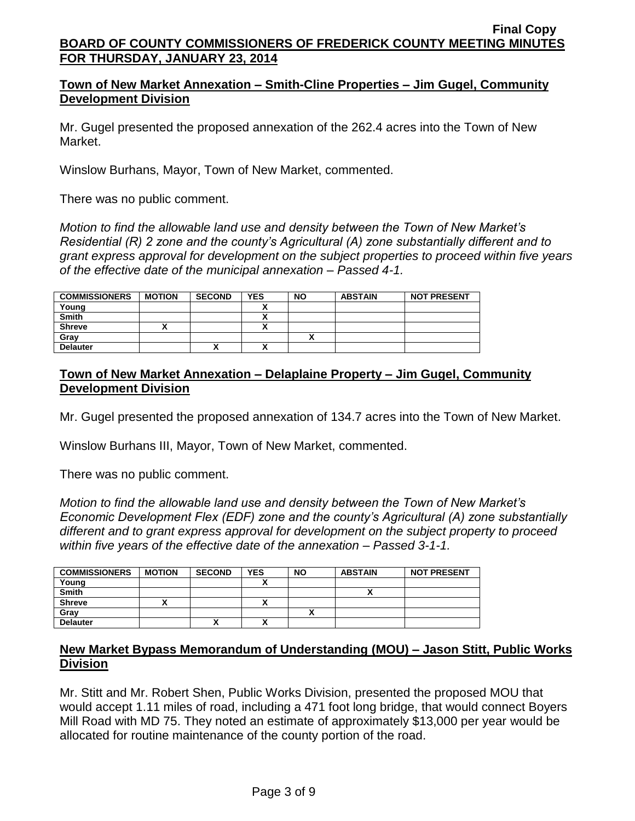# **Town of New Market Annexation – Smith-Cline Properties – Jim Gugel, Community Development Division**

Mr. Gugel presented the proposed annexation of the 262.4 acres into the Town of New Market.

Winslow Burhans, Mayor, Town of New Market, commented.

There was no public comment.

*Motion to find the allowable land use and density between the Town of New Market's Residential (R) 2 zone and the county's Agricultural (A) zone substantially different and to grant express approval for development on the subject properties to proceed within five years of the effective date of the municipal annexation – Passed 4-1.*

| <b>COMMISSIONERS</b> | <b>MOTION</b> | <b>SECOND</b> | <b>YES</b>               | <b>NO</b> | <b>ABSTAIN</b> | <b>NOT PRESENT</b> |
|----------------------|---------------|---------------|--------------------------|-----------|----------------|--------------------|
| Young                |               |               |                          |           |                |                    |
| <b>Smith</b>         |               |               |                          |           |                |                    |
| <b>Shreve</b>        |               |               |                          |           |                |                    |
| Grav                 |               |               |                          |           |                |                    |
| <b>Delauter</b>      |               | '             | $\overline{\phantom{a}}$ |           |                |                    |

# **Town of New Market Annexation – Delaplaine Property – Jim Gugel, Community Development Division**

Mr. Gugel presented the proposed annexation of 134.7 acres into the Town of New Market.

Winslow Burhans III, Mayor, Town of New Market, commented.

There was no public comment.

*Motion to find the allowable land use and density between the Town of New Market's Economic Development Flex (EDF) zone and the county's Agricultural (A) zone substantially different and to grant express approval for development on the subject property to proceed within five years of the effective date of the annexation – Passed 3-1-1.*

| <b>COMMISSIONERS</b> | <b>MOTION</b> | <b>SECOND</b> | <b>YES</b> | <b>NO</b>    | <b>ABSTAIN</b> | <b>NOT PRESENT</b> |
|----------------------|---------------|---------------|------------|--------------|----------------|--------------------|
| Young                |               |               |            |              |                |                    |
| <b>Smith</b>         |               |               |            |              |                |                    |
| <b>Shreve</b>        |               |               | ~          |              |                |                    |
| Grav                 |               |               |            | $\mathbf{v}$ |                |                    |
| <b>Delauter</b>      |               | $\mathbf{v}$  | ^          |              |                |                    |

## **New Market Bypass Memorandum of Understanding (MOU) – Jason Stitt, Public Works Division**

Mr. Stitt and Mr. Robert Shen, Public Works Division, presented the proposed MOU that would accept 1.11 miles of road, including a 471 foot long bridge, that would connect Boyers Mill Road with MD 75. They noted an estimate of approximately \$13,000 per year would be allocated for routine maintenance of the county portion of the road.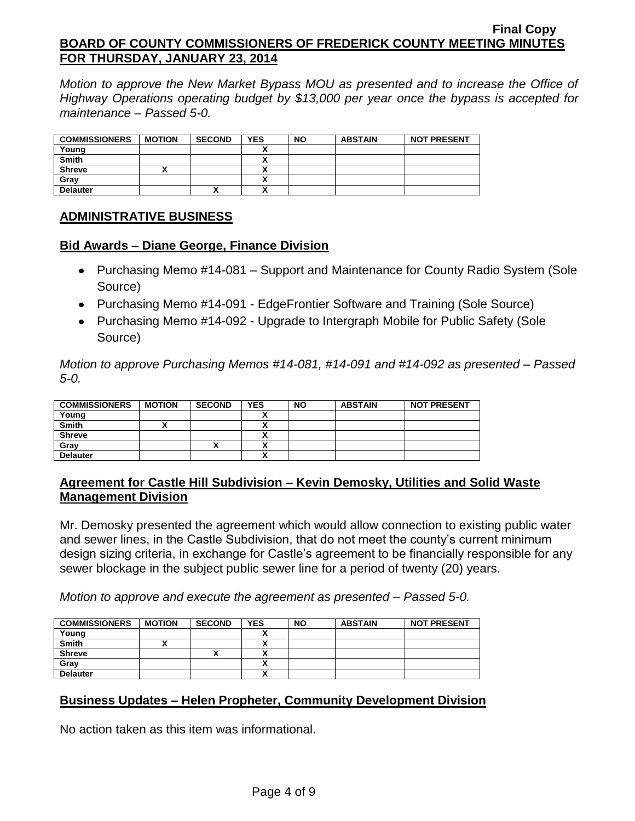*Motion to approve the New Market Bypass MOU as presented and to increase the Office of Highway Operations operating budget by \$13,000 per year once the bypass is accepted for maintenance – Passed 5-0.*

| <b>COMMISSIONERS</b> | <b>MOTION</b> | <b>SECOND</b> | <b>YES</b> | <b>NO</b> | <b>ABSTAIN</b> | <b>NOT PRESENT</b> |
|----------------------|---------------|---------------|------------|-----------|----------------|--------------------|
| Young                |               |               |            |           |                |                    |
| <b>Smith</b>         |               |               |            |           |                |                    |
| <b>Shreve</b>        |               |               |            |           |                |                    |
| Grav                 |               |               |            |           |                |                    |
| <b>Delauter</b>      |               |               |            |           |                |                    |

# **ADMINISTRATIVE BUSINESS**

## **Bid Awards – Diane George, Finance Division**

- Purchasing Memo #14-081 Support and Maintenance for County Radio System (Sole Source)
- Purchasing Memo #14-091 EdgeFrontier Software and Training (Sole Source)
- Purchasing Memo #14-092 Upgrade to Intergraph Mobile for Public Safety (Sole Source)

*Motion to approve Purchasing Memos #14-081, #14-091 and #14-092 as presented – Passed 5-0.* 

| <b>COMMISSIONERS</b> | <b>MOTION</b> | <b>SECOND</b> | <b>YES</b>               | <b>NO</b> | <b>ABSTAIN</b> | <b>NOT PRESENT</b> |
|----------------------|---------------|---------------|--------------------------|-----------|----------------|--------------------|
| Young                |               |               |                          |           |                |                    |
| <b>Smith</b>         |               |               |                          |           |                |                    |
| <b>Shreve</b>        |               |               | Λ                        |           |                |                    |
| Grav                 |               |               |                          |           |                |                    |
| <b>Delauter</b>      |               |               | $\overline{\phantom{a}}$ |           |                |                    |

## **Agreement for Castle Hill Subdivision – Kevin Demosky, Utilities and Solid Waste Management Division**

Mr. Demosky presented the agreement which would allow connection to existing public water and sewer lines, in the Castle Subdivision, that do not meet the county's current minimum design sizing criteria, in exchange for Castle's agreement to be financially responsible for any sewer blockage in the subject public sewer line for a period of twenty (20) years.

*Motion to approve and execute the agreement as presented – Passed 5-0.*

| <b>COMMISSIONERS</b> | <b>MOTION</b> | <b>SECOND</b> | <b>YES</b> | <b>NO</b> | <b>ABSTAIN</b> | <b>NOT PRESENT</b> |
|----------------------|---------------|---------------|------------|-----------|----------------|--------------------|
| Young                |               |               |            |           |                |                    |
| <b>Smith</b>         |               |               |            |           |                |                    |
| <b>Shreve</b>        |               | ́             | `<br>      |           |                |                    |
| Gray                 |               |               |            |           |                |                    |
| <b>Delauter</b>      |               |               | ~          |           |                |                    |

# **Business Updates – Helen Propheter, Community Development Division**

No action taken as this item was informational.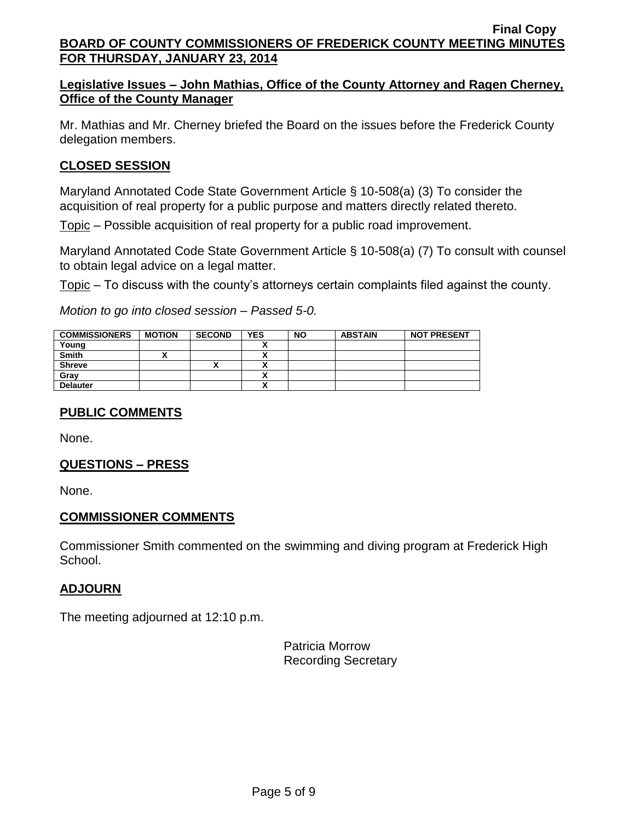# **Legislative Issues – John Mathias, Office of the County Attorney and Ragen Cherney, Office of the County Manager**

Mr. Mathias and Mr. Cherney briefed the Board on the issues before the Frederick County delegation members.

# **CLOSED SESSION**

Maryland Annotated Code State Government Article § 10-508(a) (3) To consider the acquisition of real property for a public purpose and matters directly related thereto.

Topic – Possible acquisition of real property for a public road improvement.

Maryland Annotated Code State Government Article § 10-508(a) (7) To consult with counsel to obtain legal advice on a legal matter.

Topic – To discuss with the county's attorneys certain complaints filed against the county.

*Motion to go into closed session – Passed 5-0.*

| <b>COMMISSIONERS</b> | <b>MOTION</b> | <b>SECOND</b> | <b>YES</b> | <b>NO</b> | <b>ABSTAIN</b> | <b>NOT PRESENT</b> |
|----------------------|---------------|---------------|------------|-----------|----------------|--------------------|
| Young                |               |               |            |           |                |                    |
| <b>Smith</b>         |               |               |            |           |                |                    |
| <b>Shreve</b>        |               | ́             |            |           |                |                    |
| Gray                 |               |               |            |           |                |                    |
| <b>Delauter</b>      |               |               |            |           |                |                    |

## **PUBLIC COMMENTS**

None.

## **QUESTIONS – PRESS**

None.

## **COMMISSIONER COMMENTS**

Commissioner Smith commented on the swimming and diving program at Frederick High School.

# **ADJOURN**

The meeting adjourned at 12:10 p.m.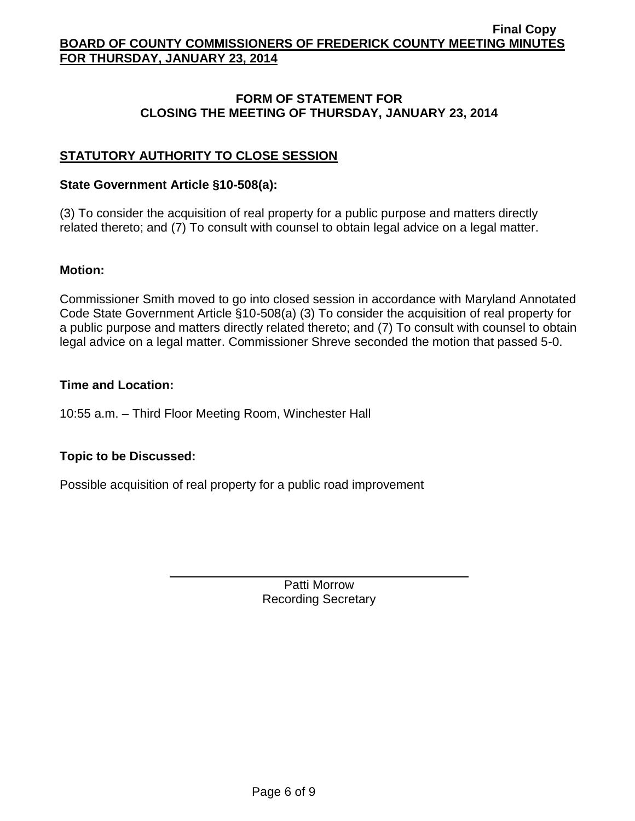### **FORM OF STATEMENT FOR CLOSING THE MEETING OF THURSDAY, JANUARY 23, 2014**

# **STATUTORY AUTHORITY TO CLOSE SESSION**

### **State Government Article §10-508(a):**

(3) To consider the acquisition of real property for a public purpose and matters directly related thereto; and (7) To consult with counsel to obtain legal advice on a legal matter.

### **Motion:**

Commissioner Smith moved to go into closed session in accordance with Maryland Annotated Code State Government Article §10-508(a) (3) To consider the acquisition of real property for a public purpose and matters directly related thereto; and (7) To consult with counsel to obtain legal advice on a legal matter. Commissioner Shreve seconded the motion that passed 5-0.

### **Time and Location:**

10:55 a.m. – Third Floor Meeting Room, Winchester Hall

## **Topic to be Discussed:**

Possible acquisition of real property for a public road improvement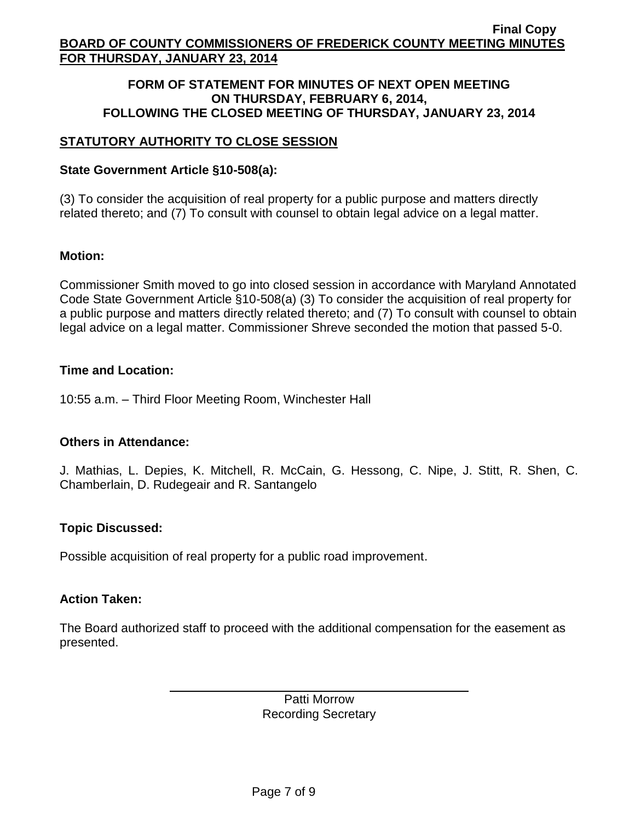### **FORM OF STATEMENT FOR MINUTES OF NEXT OPEN MEETING ON THURSDAY, FEBRUARY 6, 2014, FOLLOWING THE CLOSED MEETING OF THURSDAY, JANUARY 23, 2014**

# **STATUTORY AUTHORITY TO CLOSE SESSION**

# **State Government Article §10-508(a):**

(3) To consider the acquisition of real property for a public purpose and matters directly related thereto; and (7) To consult with counsel to obtain legal advice on a legal matter.

# **Motion:**

Commissioner Smith moved to go into closed session in accordance with Maryland Annotated Code State Government Article §10-508(a) (3) To consider the acquisition of real property for a public purpose and matters directly related thereto; and (7) To consult with counsel to obtain legal advice on a legal matter. Commissioner Shreve seconded the motion that passed 5-0.

# **Time and Location:**

10:55 a.m. – Third Floor Meeting Room, Winchester Hall

## **Others in Attendance:**

J. Mathias, L. Depies, K. Mitchell, R. McCain, G. Hessong, C. Nipe, J. Stitt, R. Shen, C. Chamberlain, D. Rudegeair and R. Santangelo

# **Topic Discussed:**

Possible acquisition of real property for a public road improvement.

## **Action Taken:**

The Board authorized staff to proceed with the additional compensation for the easement as presented.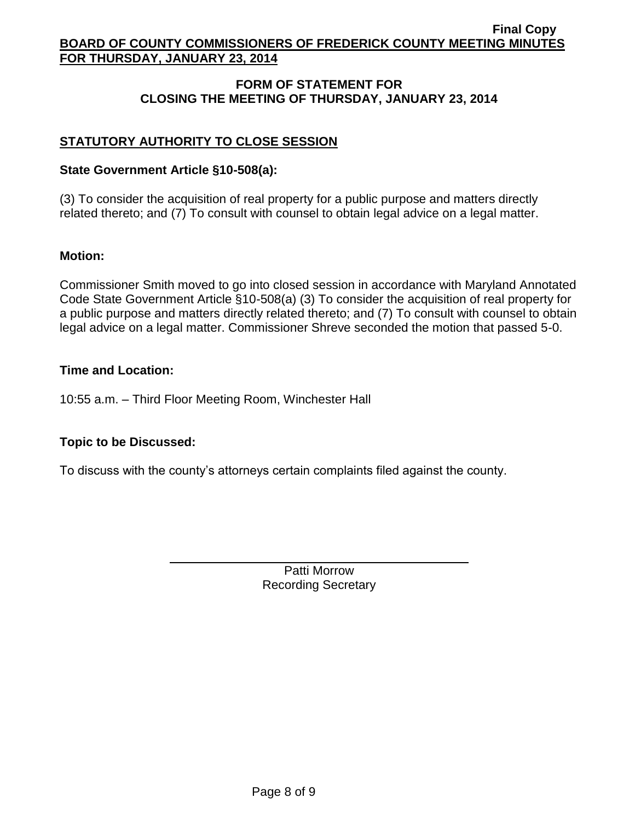# **FORM OF STATEMENT FOR CLOSING THE MEETING OF THURSDAY, JANUARY 23, 2014**

# **STATUTORY AUTHORITY TO CLOSE SESSION**

## **State Government Article §10-508(a):**

(3) To consider the acquisition of real property for a public purpose and matters directly related thereto; and (7) To consult with counsel to obtain legal advice on a legal matter.

## **Motion:**

Commissioner Smith moved to go into closed session in accordance with Maryland Annotated Code State Government Article §10-508(a) (3) To consider the acquisition of real property for a public purpose and matters directly related thereto; and (7) To consult with counsel to obtain legal advice on a legal matter. Commissioner Shreve seconded the motion that passed 5-0.

## **Time and Location:**

10:55 a.m. – Third Floor Meeting Room, Winchester Hall

## **Topic to be Discussed:**

To discuss with the county's attorneys certain complaints filed against the county.